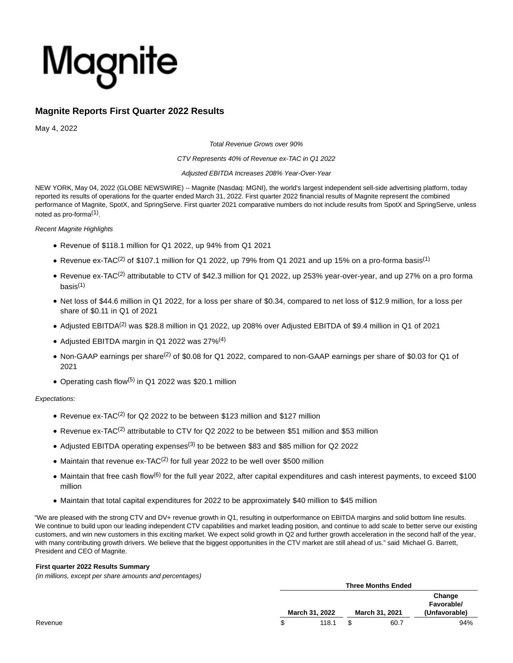# Magnite

# **Magnite Reports First Quarter 2022 Results**

May 4, 2022

Total Revenue Grows over 90%

CTV Represents 40% of Revenue ex-TAC in Q1 2022

#### Adjusted EBITDA Increases 208% Year-Over-Year

NEW YORK, May 04, 2022 (GLOBE NEWSWIRE) -- Magnite (Nasdaq: MGNI), the world's largest independent sell-side advertising platform, today reported its results of operations for the quarter ended March 31, 2022. First quarter 2022 financial results of Magnite represent the combined performance of Magnite, SpotX, and SpringServe. First quarter 2021 comparative numbers do not include results from SpotX and SpringServe, unless noted as pro-forma<sup>(1)</sup>.

# Recent Magnite Highlights

- Revenue of \$118.1 million for Q1 2022, up 94% from Q1 2021
- Revenue ex-TAC<sup>(2)</sup> of \$107.1 million for Q1 2022, up 79% from Q1 2021 and up 15% on a pro-forma basis<sup>(1)</sup>
- Revenue ex-TAC<sup>(2)</sup> attributable to CTV of \$42.3 million for Q1 2022, up 253% year-over-year, and up 27% on a pro forma basis(1)
- Net loss of \$44.6 million in Q1 2022, for a loss per share of \$0.34, compared to net loss of \$12.9 million, for a loss per share of \$0.11 in Q1 of 2021
- Adjusted EBITDA(2) was \$28.8 million in Q1 2022, up 208% over Adjusted EBITDA of \$9.4 million in Q1 of 2021
- Adjusted EBITDA margin in Q1 2022 was  $27\%^{(4)}$
- Non-GAAP earnings per share<sup>(2)</sup> of \$0.08 for Q1 2022, compared to non-GAAP earnings per share of \$0.03 for Q1 of 2021
- Operating cash flow<sup>(5)</sup> in Q1 2022 was \$20.1 million

#### Expectations:

- Revenue ex-TAC<sup>(2)</sup> for Q2 2022 to be between \$123 million and \$127 million
- Revenue ex-TAC<sup>(2)</sup> attributable to CTV for Q2 2022 to be between \$51 million and \$53 million
- Adjusted EBITDA operating expenses<sup>(3)</sup> to be between \$83 and \$85 million for Q2 2022
- Maintain that revenue ex-TAC<sup>(2)</sup> for full year 2022 to be well over \$500 million
- Maintain that free cash flow<sup>(6)</sup> for the full year 2022, after capital expenditures and cash interest payments, to exceed \$100 million
- Maintain that total capital expenditures for 2022 to be approximately \$40 million to \$45 million

"We are pleased with the strong CTV and DV+ revenue growth in Q1, resulting in outperformance on EBITDA margins and solid bottom line results. We continue to build upon our leading independent CTV capabilities and market leading position, and continue to add scale to better serve our existing customers, and win new customers in this exciting market. We expect solid growth in Q2 and further growth acceleration in the second half of the year, with many contributing growth drivers. We believe that the biggest opportunities in the CTV market are still ahead of us." said Michael G. Barrett, President and CEO of Magnite.

# **First quarter 2022 Results Summary**

(in millions, except per share amounts and percentages)

|         |                |       | <b>Three Months Ended</b> |      |                                       |
|---------|----------------|-------|---------------------------|------|---------------------------------------|
|         | March 31, 2022 |       | March 31, 2021            |      | Change<br>Favorable/<br>(Unfavorable) |
| Revenue | \$             | 118.1 |                           | 60.7 | 94%                                   |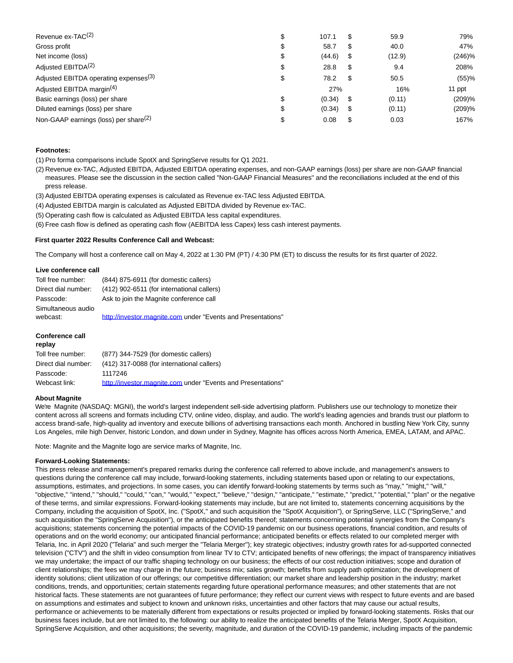| Revenue ex-TAC <sup>(2)</sup>                     | \$<br>107.1  | \$  | 59.9   | 79%       |
|---------------------------------------------------|--------------|-----|--------|-----------|
| Gross profit                                      | \$<br>58.7   |     | 40.0   | 47%       |
| Net income (loss)                                 | \$<br>(44.6) | - 5 | (12.9) | $(246)\%$ |
| Adjusted EBITDA <sup>(2)</sup>                    | \$<br>28.8   | S   | 9.4    | 208%      |
| Adjusted EBITDA operating expenses <sup>(3)</sup> | \$<br>78.2   | \$. | 50.5   | (55)%     |
| Adjusted EBITDA margin <sup>(4)</sup>             | 27%          |     | 16%    | 11 ppt    |
| Basic earnings (loss) per share                   | \$<br>(0.34) |     | (0.11) | (209)%    |
| Diluted earnings (loss) per share                 | \$<br>(0.34) | \$  | (0.11) | (209)%    |
| Non-GAAP earnings (loss) per share <sup>(2)</sup> | \$<br>0.08   | \$  | 0.03   | 167%      |

#### **Footnotes:**

(1) Pro forma comparisons include SpotX and SpringServe results for Q1 2021.

(2) Revenue ex-TAC, Adjusted EBITDA, Adjusted EBITDA operating expenses, and non-GAAP earnings (loss) per share are non-GAAP financial measures. Please see the discussion in the section called "Non-GAAP Financial Measures" and the reconciliations included at the end of this press release.

(3) Adjusted EBITDA operating expenses is calculated as Revenue ex-TAC less Adjusted EBITDA.

(4) Adjusted EBITDA margin is calculated as Adjusted EBITDA divided by Revenue ex-TAC.

(5) Operating cash flow is calculated as Adjusted EBITDA less capital expenditures.

(6) Free cash flow is defined as operating cash flow (AEBITDA less Capex) less cash interest payments.

#### **First quarter 2022 Results Conference Call and Webcast:**

The Company will host a conference call on May 4, 2022 at 1:30 PM (PT) / 4:30 PM (ET) to discuss the results for its first quarter of 2022.

#### **Live conference call**

| Toll free number:   | (844) 875-6911 (for domestic callers)                        |
|---------------------|--------------------------------------------------------------|
| Direct dial number: | (412) 902-6511 (for international callers)                   |
| Passcode:           | Ask to join the Magnite conference call                      |
| Simultaneous audio  |                                                              |
| webcast:            | http://investor.magnite.com under "Events and Presentations" |

#### **Conference call**

| ×<br>۰,<br>٠<br>× | ۰, |
|-------------------|----|
|-------------------|----|

| ισμιαν              |                                                              |
|---------------------|--------------------------------------------------------------|
| Toll free number:   | (877) 344-7529 (for domestic callers)                        |
| Direct dial number: | (412) 317-0088 (for international callers)                   |
| Passcode:           | 1117246                                                      |
| Webcast link:       | http://investor.magnite.com under "Events and Presentations" |

#### **About Magnite**

We're Magnite (NASDAQ: MGNI), the world's largest independent sell-side advertising platform. Publishers use our technology to monetize their content across all screens and formats including CTV, online video, display, and audio. The world's leading agencies and brands trust our platform to access brand-safe, high-quality ad inventory and execute billions of advertising transactions each month. Anchored in bustling New York City, sunny Los Angeles, mile high Denver, historic London, and down under in Sydney, Magnite has offices across North America, EMEA, LATAM, and APAC.

Note: Magnite and the Magnite logo are service marks of Magnite, Inc.

#### **Forward-Looking Statements:**

This press release and management's prepared remarks during the conference call referred to above include, and management's answers to questions during the conference call may include, forward-looking statements, including statements based upon or relating to our expectations, assumptions, estimates, and projections. In some cases, you can identify forward-looking statements by terms such as "may," "might," "will," "objective," "intend," "should," "could," "can," "would," "expect," "believe," "design," "anticipate," "estimate," "predict," "potential," "plan" or the negative of these terms, and similar expressions. Forward-looking statements may include, but are not limited to, statements concerning acquisitions by the Company, including the acquisition of SpotX, Inc. ("SpotX," and such acquisition the "SpotX Acquisition"), or SpringServe, LLC ("SpringServe," and such acquisition the "SpringServe Acquisition"), or the anticipated benefits thereof; statements concerning potential synergies from the Company's acquisitions; statements concerning the potential impacts of the COVID-19 pandemic on our business operations, financial condition, and results of operations and on the world economy; our anticipated financial performance; anticipated benefits or effects related to our completed merger with Telaria, Inc. in April 2020 ("Telaria" and such merger the "Telaria Merger"); key strategic objectives; industry growth rates for ad-supported connected television ("CTV") and the shift in video consumption from linear TV to CTV; anticipated benefits of new offerings; the impact of transparency initiatives we may undertake; the impact of our traffic shaping technology on our business; the effects of our cost reduction initiatives; scope and duration of client relationships; the fees we may charge in the future; business mix; sales growth; benefits from supply path optimization; the development of identity solutions; client utilization of our offerings; our competitive differentiation; our market share and leadership position in the industry; market conditions, trends, and opportunities; certain statements regarding future operational performance measures; and other statements that are not historical facts. These statements are not guarantees of future performance; they reflect our current views with respect to future events and are based on assumptions and estimates and subject to known and unknown risks, uncertainties and other factors that may cause our actual results, performance or achievements to be materially different from expectations or results projected or implied by forward-looking statements. Risks that our business faces include, but are not limited to, the following: our ability to realize the anticipated benefits of the Telaria Merger, SpotX Acquisition, SpringServe Acquisition, and other acquisitions; the severity, magnitude, and duration of the COVID-19 pandemic, including impacts of the pandemic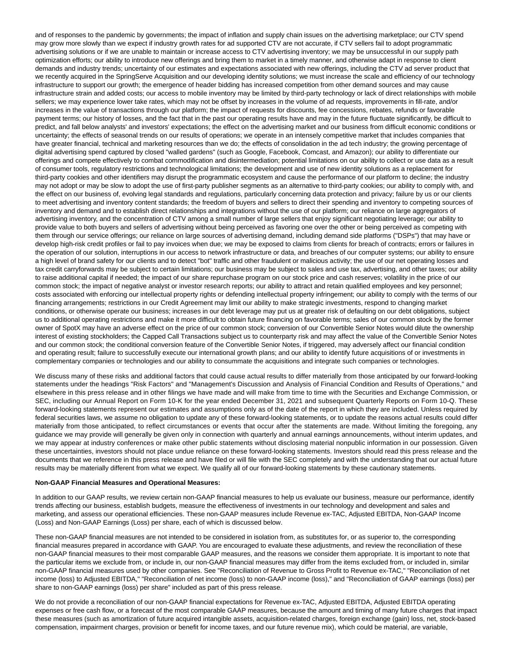and of responses to the pandemic by governments; the impact of inflation and supply chain issues on the advertising marketplace; our CTV spend may grow more slowly than we expect if industry growth rates for ad supported CTV are not accurate, if CTV sellers fail to adopt programmatic advertising solutions or if we are unable to maintain or increase access to CTV advertising inventory; we may be unsuccessful in our supply path optimization efforts; our ability to introduce new offerings and bring them to market in a timely manner, and otherwise adapt in response to client demands and industry trends; uncertainty of our estimates and expectations associated with new offerings, including the CTV ad server product that we recently acquired in the SpringServe Acquisition and our developing identity solutions; we must increase the scale and efficiency of our technology infrastructure to support our growth; the emergence of header bidding has increased competition from other demand sources and may cause infrastructure strain and added costs; our access to mobile inventory may be limited by third-party technology or lack of direct relationships with mobile sellers; we may experience lower take rates, which may not be offset by increases in the volume of ad requests, improvements in fill-rate, and/or increases in the value of transactions through our platform; the impact of requests for discounts, fee concessions, rebates, refunds or favorable payment terms; our history of losses, and the fact that in the past our operating results have and may in the future fluctuate significantly, be difficult to predict, and fall below analysts' and investors' expectations; the effect on the advertising market and our business from difficult economic conditions or uncertainty; the effects of seasonal trends on our results of operations; we operate in an intensely competitive market that includes companies that have greater financial, technical and marketing resources than we do; the effects of consolidation in the ad tech industry; the growing percentage of digital advertising spend captured by closed "walled gardens" (such as Google, Facebook, Comcast, and Amazon); our ability to differentiate our offerings and compete effectively to combat commodification and disintermediation; potential limitations on our ability to collect or use data as a result of consumer tools, regulatory restrictions and technological limitations; the development and use of new identity solutions as a replacement for third-party cookies and other identifiers may disrupt the programmatic ecosystem and cause the performance of our platform to decline; the industry may not adopt or may be slow to adopt the use of first-party publisher segments as an alternative to third-party cookies; our ability to comply with, and the effect on our business of, evolving legal standards and regulations, particularly concerning data protection and privacy; failure by us or our clients to meet advertising and inventory content standards; the freedom of buyers and sellers to direct their spending and inventory to competing sources of inventory and demand and to establish direct relationships and integrations without the use of our platform; our reliance on large aggregators of advertising inventory, and the concentration of CTV among a small number of large sellers that enjoy significant negotiating leverage; our ability to provide value to both buyers and sellers of advertising without being perceived as favoring one over the other or being perceived as competing with them through our service offerings; our reliance on large sources of advertising demand, including demand side platforms ("DSPs") that may have or develop high-risk credit profiles or fail to pay invoices when due; we may be exposed to claims from clients for breach of contracts; errors or failures in the operation of our solution, interruptions in our access to network infrastructure or data, and breaches of our computer systems; our ability to ensure a high level of brand safety for our clients and to detect "bot" traffic and other fraudulent or malicious activity; the use of our net operating losses and tax credit carryforwards may be subject to certain limitations; our business may be subject to sales and use tax, advertising, and other taxes; our ability to raise additional capital if needed; the impact of our share repurchase program on our stock price and cash reserves; volatility in the price of our common stock; the impact of negative analyst or investor research reports; our ability to attract and retain qualified employees and key personnel; costs associated with enforcing our intellectual property rights or defending intellectual property infringement; our ability to comply with the terms of our financing arrangements; restrictions in our Credit Agreement may limit our ability to make strategic investments, respond to changing market conditions, or otherwise operate our business; increases in our debt leverage may put us at greater risk of defaulting on our debt obligations, subject us to additional operating restrictions and make it more difficult to obtain future financing on favorable terms; sales of our common stock by the former owner of SpotX may have an adverse effect on the price of our common stock; conversion of our Convertible Senior Notes would dilute the ownership interest of existing stockholders; the Capped Call Transactions subject us to counterparty risk and may affect the value of the Convertible Senior Notes and our common stock; the conditional conversion feature of the Convertible Senior Notes, if triggered, may adversely affect our financial condition and operating result; failure to successfully execute our international growth plans; and our ability to identify future acquisitions of or investments in complementary companies or technologies and our ability to consummate the acquisitions and integrate such companies or technologies.

We discuss many of these risks and additional factors that could cause actual results to differ materially from those anticipated by our forward-looking statements under the headings "Risk Factors" and "Management's Discussion and Analysis of Financial Condition and Results of Operations," and elsewhere in this press release and in other filings we have made and will make from time to time with the Securities and Exchange Commission, or SEC, including our Annual Report on Form 10-K for the year ended December 31, 2021 and subsequent Quarterly Reports on Form 10-Q. These forward-looking statements represent our estimates and assumptions only as of the date of the report in which they are included. Unless required by federal securities laws, we assume no obligation to update any of these forward-looking statements, or to update the reasons actual results could differ materially from those anticipated, to reflect circumstances or events that occur after the statements are made. Without limiting the foregoing, any guidance we may provide will generally be given only in connection with quarterly and annual earnings announcements, without interim updates, and we may appear at industry conferences or make other public statements without disclosing material nonpublic information in our possession. Given these uncertainties, investors should not place undue reliance on these forward-looking statements. Investors should read this press release and the documents that we reference in this press release and have filed or will file with the SEC completely and with the understanding that our actual future results may be materially different from what we expect. We qualify all of our forward-looking statements by these cautionary statements.

#### **Non-GAAP Financial Measures and Operational Measures:**

In addition to our GAAP results, we review certain non-GAAP financial measures to help us evaluate our business, measure our performance, identify trends affecting our business, establish budgets, measure the effectiveness of investments in our technology and development and sales and marketing, and assess our operational efficiencies. These non-GAAP measures include Revenue ex-TAC, Adjusted EBITDA, Non-GAAP Income (Loss) and Non-GAAP Earnings (Loss) per share, each of which is discussed below.

These non-GAAP financial measures are not intended to be considered in isolation from, as substitutes for, or as superior to, the corresponding financial measures prepared in accordance with GAAP. You are encouraged to evaluate these adjustments, and review the reconciliation of these non-GAAP financial measures to their most comparable GAAP measures, and the reasons we consider them appropriate. It is important to note that the particular items we exclude from, or include in, our non-GAAP financial measures may differ from the items excluded from, or included in, similar non-GAAP financial measures used by other companies. See "Reconciliation of Revenue to Gross Profit to Revenue ex-TAC," "Reconciliation of net income (loss) to Adjusted EBITDA," "Reconciliation of net income (loss) to non-GAAP income (loss)," and "Reconciliation of GAAP earnings (loss) per share to non-GAAP earnings (loss) per share" included as part of this press release.

We do not provide a reconciliation of our non-GAAP financial expectations for Revenue ex-TAC, Adjusted EBITDA, Adjusted EBITDA operating expenses or free cash flow, or a forecast of the most comparable GAAP measures, because the amount and timing of many future charges that impact these measures (such as amortization of future acquired intangible assets, acquisition-related charges, foreign exchange (gain) loss, net, stock-based compensation, impairment charges, provision or benefit for income taxes, and our future revenue mix), which could be material, are variable,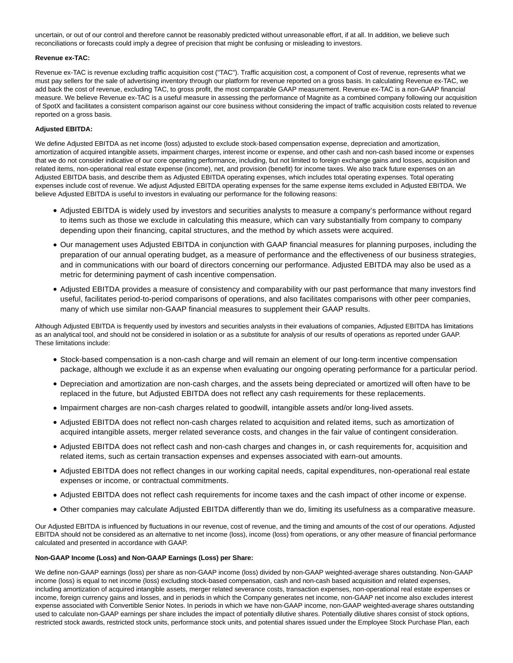uncertain, or out of our control and therefore cannot be reasonably predicted without unreasonable effort, if at all. In addition, we believe such reconciliations or forecasts could imply a degree of precision that might be confusing or misleading to investors.

#### **Revenue ex-TAC:**

Revenue ex-TAC is revenue excluding traffic acquisition cost ("TAC"). Traffic acquisition cost, a component of Cost of revenue, represents what we must pay sellers for the sale of advertising inventory through our platform for revenue reported on a gross basis. In calculating Revenue ex-TAC, we add back the cost of revenue, excluding TAC, to gross profit, the most comparable GAAP measurement. Revenue ex-TAC is a non-GAAP financial measure. We believe Revenue ex-TAC is a useful measure in assessing the performance of Magnite as a combined company following our acquisition of SpotX and facilitates a consistent comparison against our core business without considering the impact of traffic acquisition costs related to revenue reported on a gross basis.

# **Adjusted EBITDA:**

We define Adjusted EBITDA as net income (loss) adjusted to exclude stock-based compensation expense, depreciation and amortization, amortization of acquired intangible assets, impairment charges, interest income or expense, and other cash and non-cash based income or expenses that we do not consider indicative of our core operating performance, including, but not limited to foreign exchange gains and losses, acquisition and related items, non-operational real estate expense (income), net, and provision (benefit) for income taxes. We also track future expenses on an Adjusted EBITDA basis, and describe them as Adjusted EBITDA operating expenses, which includes total operating expenses. Total operating expenses include cost of revenue. We adjust Adjusted EBITDA operating expenses for the same expense items excluded in Adjusted EBITDA. We believe Adjusted EBITDA is useful to investors in evaluating our performance for the following reasons:

- Adjusted EBITDA is widely used by investors and securities analysts to measure a company's performance without regard to items such as those we exclude in calculating this measure, which can vary substantially from company to company depending upon their financing, capital structures, and the method by which assets were acquired.
- Our management uses Adjusted EBITDA in conjunction with GAAP financial measures for planning purposes, including the preparation of our annual operating budget, as a measure of performance and the effectiveness of our business strategies, and in communications with our board of directors concerning our performance. Adjusted EBITDA may also be used as a metric for determining payment of cash incentive compensation.
- Adjusted EBITDA provides a measure of consistency and comparability with our past performance that many investors find useful, facilitates period-to-period comparisons of operations, and also facilitates comparisons with other peer companies, many of which use similar non-GAAP financial measures to supplement their GAAP results.

Although Adjusted EBITDA is frequently used by investors and securities analysts in their evaluations of companies, Adjusted EBITDA has limitations as an analytical tool, and should not be considered in isolation or as a substitute for analysis of our results of operations as reported under GAAP. These limitations include:

- Stock-based compensation is a non-cash charge and will remain an element of our long-term incentive compensation package, although we exclude it as an expense when evaluating our ongoing operating performance for a particular period.
- Depreciation and amortization are non-cash charges, and the assets being depreciated or amortized will often have to be replaced in the future, but Adjusted EBITDA does not reflect any cash requirements for these replacements.
- Impairment charges are non-cash charges related to goodwill, intangible assets and/or long-lived assets.
- Adjusted EBITDA does not reflect non-cash charges related to acquisition and related items, such as amortization of acquired intangible assets, merger related severance costs, and changes in the fair value of contingent consideration.
- Adjusted EBITDA does not reflect cash and non-cash charges and changes in, or cash requirements for, acquisition and related items, such as certain transaction expenses and expenses associated with earn-out amounts.
- Adjusted EBITDA does not reflect changes in our working capital needs, capital expenditures, non-operational real estate expenses or income, or contractual commitments.
- Adjusted EBITDA does not reflect cash requirements for income taxes and the cash impact of other income or expense.
- Other companies may calculate Adjusted EBITDA differently than we do, limiting its usefulness as a comparative measure.

Our Adjusted EBITDA is influenced by fluctuations in our revenue, cost of revenue, and the timing and amounts of the cost of our operations. Adjusted EBITDA should not be considered as an alternative to net income (loss), income (loss) from operations, or any other measure of financial performance calculated and presented in accordance with GAAP.

#### **Non-GAAP Income (Loss) and Non-GAAP Earnings (Loss) per Share:**

We define non-GAAP earnings (loss) per share as non-GAAP income (loss) divided by non-GAAP weighted-average shares outstanding. Non-GAAP income (loss) is equal to net income (loss) excluding stock-based compensation, cash and non-cash based acquisition and related expenses, including amortization of acquired intangible assets, merger related severance costs, transaction expenses, non-operational real estate expenses or income, foreign currency gains and losses, and in periods in which the Company generates net income, non-GAAP net income also excludes interest expense associated with Convertible Senior Notes. In periods in which we have non-GAAP income, non-GAAP weighted-average shares outstanding used to calculate non-GAAP earnings per share includes the impact of potentially dilutive shares. Potentially dilutive shares consist of stock options, restricted stock awards, restricted stock units, performance stock units, and potential shares issued under the Employee Stock Purchase Plan, each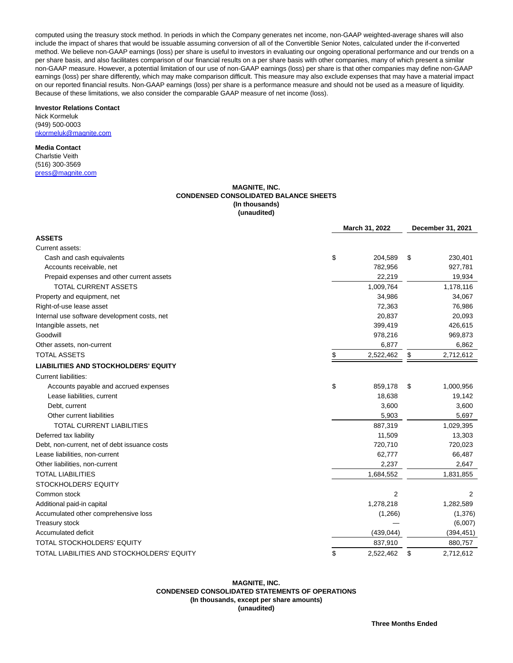computed using the treasury stock method. In periods in which the Company generates net income, non-GAAP weighted-average shares will also include the impact of shares that would be issuable assuming conversion of all of the Convertible Senior Notes, calculated under the if-converted method. We believe non-GAAP earnings (loss) per share is useful to investors in evaluating our ongoing operational performance and our trends on a per share basis, and also facilitates comparison of our financial results on a per share basis with other companies, many of which present a similar non-GAAP measure. However, a potential limitation of our use of non-GAAP earnings (loss) per share is that other companies may define non-GAAP earnings (loss) per share differently, which may make comparison difficult. This measure may also exclude expenses that may have a material impact on our reported financial results. Non-GAAP earnings (loss) per share is a performance measure and should not be used as a measure of liquidity. Because of these limitations, we also consider the comparable GAAP measure of net income (loss).

#### **Investor Relations Contact**

Nick Kormeluk (949) 500-0003 [nkormeluk@magnite.com](https://www.globenewswire.com/Tracker?data=RA0Ohha81ZNodeWFkgPZD3k04I09EklkoUdha9LWIVNzSU-c7Trek7aIFBdrZCunT7UyLH83XiAgz71are7AfNyR3p78ZAaeNptkAdLWPKw=)

# **Media Contact**

Charlstie Veith (516) 300-3569 [press@magnite.com](https://www.globenewswire.com/Tracker?data=pYjLfEQw1yrJ-Cw1pnzMW97e8zZ3E2y1kDEc74g4rpPSRaWbzdQ63s3AvDv6J6tW2glq9ynFA0dN_oXgx65eKg==)

#### **MAGNITE, INC. CONDENSED CONSOLIDATED BALANCE SHEETS (In thousands) (unaudited)**

|                                               | March 31, 2022 |            |    | December 31, 2021 |  |
|-----------------------------------------------|----------------|------------|----|-------------------|--|
| <b>ASSETS</b>                                 |                |            |    |                   |  |
| Current assets:                               |                |            |    |                   |  |
| Cash and cash equivalents                     | \$             | 204,589    | \$ | 230,401           |  |
| Accounts receivable, net                      |                | 782,956    |    | 927,781           |  |
| Prepaid expenses and other current assets     |                | 22,219     |    | 19,934            |  |
| <b>TOTAL CURRENT ASSETS</b>                   |                | 1,009,764  |    | 1,178,116         |  |
| Property and equipment, net                   |                | 34,986     |    | 34,067            |  |
| Right-of-use lease asset                      |                | 72,363     |    | 76,986            |  |
| Internal use software development costs, net  |                | 20,837     |    | 20,093            |  |
| Intangible assets, net                        |                | 399,419    |    | 426,615           |  |
| Goodwill                                      |                | 978,216    |    | 969,873           |  |
| Other assets, non-current                     |                | 6,877      |    | 6,862             |  |
| <b>TOTAL ASSETS</b>                           | \$             | 2,522,462  | \$ | 2,712,612         |  |
| <b>LIABILITIES AND STOCKHOLDERS' EQUITY</b>   |                |            |    |                   |  |
| Current liabilities:                          |                |            |    |                   |  |
| Accounts payable and accrued expenses         | \$             | 859,178    | \$ | 1,000,956         |  |
| Lease liabilities, current                    |                | 18,638     |    | 19,142            |  |
| Debt, current                                 |                | 3,600      |    | 3,600             |  |
| Other current liabilities                     |                | 5,903      |    | 5,697             |  |
| <b>TOTAL CURRENT LIABILITIES</b>              |                | 887,319    |    | 1,029,395         |  |
| Deferred tax liability                        |                | 11,509     |    | 13,303            |  |
| Debt, non-current, net of debt issuance costs |                | 720,710    |    | 720,023           |  |
| Lease liabilities, non-current                |                | 62,777     |    | 66,487            |  |
| Other liabilities, non-current                |                | 2,237      |    | 2,647             |  |
| <b>TOTAL LIABILITIES</b>                      |                | 1,684,552  |    | 1,831,855         |  |
| STOCKHOLDERS' EQUITY                          |                |            |    |                   |  |
| Common stock                                  |                | 2          |    | 2                 |  |
| Additional paid-in capital                    |                | 1,278,218  |    | 1,282,589         |  |
| Accumulated other comprehensive loss          |                | (1,266)    |    | (1,376)           |  |
| Treasury stock                                |                |            |    | (6,007)           |  |
| Accumulated deficit                           |                | (439, 044) |    | (394, 451)        |  |
| TOTAL STOCKHOLDERS' EQUITY                    |                | 837,910    |    | 880,757           |  |
| TOTAL LIABILITIES AND STOCKHOLDERS' EQUITY    | \$             | 2,522,462  | \$ | 2,712,612         |  |

## **MAGNITE, INC. CONDENSED CONSOLIDATED STATEMENTS OF OPERATIONS (In thousands, except per share amounts) (unaudited)**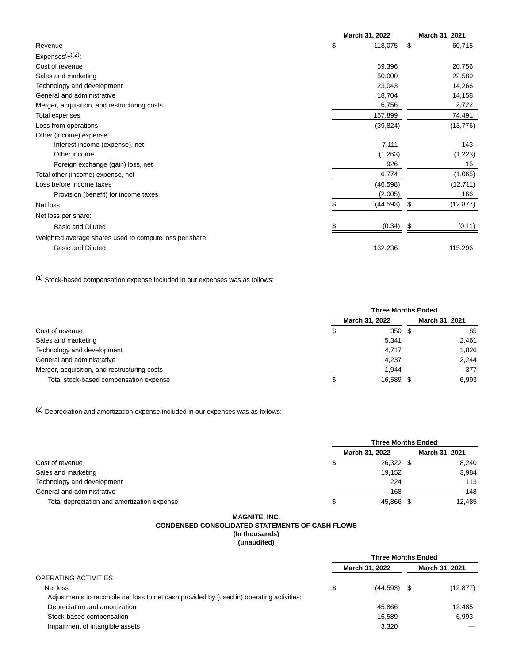|                                                         | March 31, 2022 |    | March 31, 2021 |
|---------------------------------------------------------|----------------|----|----------------|
| Revenue                                                 | \$<br>118,075  | \$ | 60,715         |
| Expenses $(1)(2)$ :                                     |                |    |                |
| Cost of revenue                                         | 59,396         |    | 20,756         |
| Sales and marketing                                     | 50,000         |    | 22,589         |
| Technology and development                              | 23,043         |    | 14,266         |
| General and administrative                              | 18,704         |    | 14,158         |
| Merger, acquisition, and restructuring costs            | 6,756          |    | 2,722          |
| Total expenses                                          | 157,899        |    | 74,491         |
| Loss from operations                                    | (39, 824)      |    | (13, 776)      |
| Other (income) expense:                                 |                |    |                |
| Interest income (expense), net                          | 7,111          |    | 143            |
| Other income                                            | (1,263)        |    | (1,223)        |
| Foreign exchange (gain) loss, net                       | 926            |    | 15             |
| Total other (income) expense, net                       | 6,774          |    | (1,065)        |
| Loss before income taxes                                | (46, 598)      |    | (12, 711)      |
| Provision (benefit) for income taxes                    | (2,005)        |    | 166            |
| Net loss                                                | (44, 593)      | S  | (12, 877)      |
| Net loss per share:                                     |                |    |                |
| <b>Basic and Diluted</b>                                | (0.34)         |    | (0.11)         |
| Weighted average shares used to compute loss per share: |                |    |                |
| <b>Basic and Diluted</b>                                | 132,236        |    | 115,296        |

(1) Stock-based compensation expense included in our expenses was as follows:

|                                              | <b>Three Months Ended</b> |  |                |  |  |
|----------------------------------------------|---------------------------|--|----------------|--|--|
|                                              | March 31, 2022            |  | March 31, 2021 |  |  |
| Cost of revenue                              | \$<br>350S                |  | 85             |  |  |
| Sales and marketing                          | 5.341                     |  | 2.461          |  |  |
| Technology and development                   | 4,717                     |  | 1.826          |  |  |
| General and administrative                   | 4.237                     |  | 2.244          |  |  |
| Merger, acquisition, and restructuring costs | 1.944                     |  | 377            |  |  |
| Total stock-based compensation expense       | 16,589 \$                 |  | 6.993          |  |  |

(2) Depreciation and amortization expense included in our expenses was as follows:

|                                             | <b>Three Months Ended</b> |  |                |  |  |
|---------------------------------------------|---------------------------|--|----------------|--|--|
|                                             | March 31, 2022            |  | March 31, 2021 |  |  |
| Cost of revenue                             | \$<br>26,322 \$           |  | 8.240          |  |  |
| Sales and marketing                         | 19.152                    |  | 3.984          |  |  |
| Technology and development                  | 224                       |  | 113            |  |  |
| General and administrative                  | 168                       |  | 148            |  |  |
| Total depreciation and amortization expense | 45.866                    |  | 12,485         |  |  |

# **MAGNITE, INC. CONDENSED CONSOLIDATED STATEMENTS OF CASH FLOWS (In thousands) (unaudited)**

| <b>Three Months Ended</b> |  |                |  |
|---------------------------|--|----------------|--|
| March 31, 2022            |  | March 31, 2021 |  |
|                           |  |                |  |
| (44, 593)                 |  | (12, 877)      |  |
|                           |  |                |  |
| 45.866                    |  | 12.485         |  |
| 16.589                    |  | 6.993          |  |
| 3,320                     |  |                |  |
|                           |  |                |  |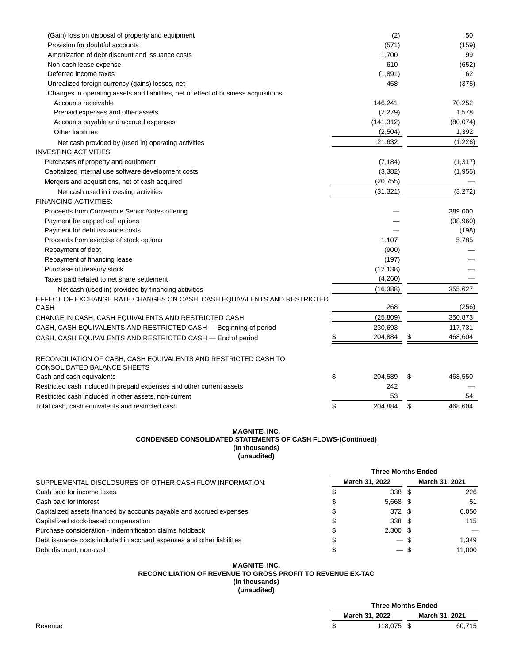| (Gain) loss on disposal of property and equipment                                              | (2)           | 50            |
|------------------------------------------------------------------------------------------------|---------------|---------------|
| Provision for doubtful accounts                                                                | (571)         | (159)         |
| Amortization of debt discount and issuance costs                                               | 1,700         | 99            |
| Non-cash lease expense                                                                         | 610           | (652)         |
| Deferred income taxes                                                                          | (1,891)       | 62            |
| Unrealized foreign currency (gains) losses, net                                                | 458           | (375)         |
| Changes in operating assets and liabilities, net of effect of business acquisitions:           |               |               |
| Accounts receivable                                                                            | 146,241       | 70,252        |
| Prepaid expenses and other assets                                                              | (2,279)       | 1,578         |
| Accounts payable and accrued expenses                                                          | (141, 312)    | (80,074)      |
| <b>Other liabilities</b>                                                                       | (2,504)       | 1,392         |
| Net cash provided by (used in) operating activities                                            | 21,632        | (1,226)       |
| <b>INVESTING ACTIVITIES:</b>                                                                   |               |               |
| Purchases of property and equipment                                                            | (7, 184)      | (1, 317)      |
| Capitalized internal use software development costs                                            | (3, 382)      | (1,955)       |
| Mergers and acquisitions, net of cash acquired                                                 | (20, 755)     |               |
| Net cash used in investing activities                                                          | (31, 321)     | (3,272)       |
| <b>FINANCING ACTIVITIES:</b>                                                                   |               |               |
| Proceeds from Convertible Senior Notes offering                                                |               | 389,000       |
| Payment for capped call options                                                                |               | (38,960)      |
| Payment for debt issuance costs                                                                |               | (198)         |
| Proceeds from exercise of stock options                                                        | 1,107         | 5,785         |
| Repayment of debt                                                                              | (900)         |               |
| Repayment of financing lease                                                                   | (197)         |               |
| Purchase of treasury stock                                                                     | (12, 138)     |               |
| Taxes paid related to net share settlement                                                     | (4,260)       |               |
| Net cash (used in) provided by financing activities                                            | (16, 388)     | 355,627       |
| EFFECT OF EXCHANGE RATE CHANGES ON CASH, CASH EQUIVALENTS AND RESTRICTED                       |               |               |
| <b>CASH</b>                                                                                    | 268           | (256)         |
| CHANGE IN CASH, CASH EQUIVALENTS AND RESTRICTED CASH                                           | (25, 809)     | 350,873       |
| CASH, CASH EQUIVALENTS AND RESTRICTED CASH — Beginning of period                               | 230,693       | 117,731       |
| CASH, CASH EQUIVALENTS AND RESTRICTED CASH - End of period                                     | \$<br>204,884 | \$<br>468,604 |
| RECONCILIATION OF CASH, CASH EQUIVALENTS AND RESTRICTED CASH TO<br>CONSOLIDATED BALANCE SHEETS |               |               |
| Cash and cash equivalents                                                                      | \$<br>204,589 | \$<br>468,550 |
| Restricted cash included in prepaid expenses and other current assets                          | 242           |               |
| Restricted cash included in other assets, non-current                                          | 53            | 54            |
| Total cash, cash equivalents and restricted cash                                               | \$<br>204,884 | \$<br>468.604 |
|                                                                                                |               |               |

#### **MAGNITE, INC. CONDENSED CONSOLIDATED STATEMENTS OF CASH FLOWS-(Continued) (In thousands) (unaudited)**

|                                                                        | <b>Three Months Ended</b> |                |  |                |  |
|------------------------------------------------------------------------|---------------------------|----------------|--|----------------|--|
| SUPPLEMENTAL DISCLOSURES OF OTHER CASH FLOW INFORMATION:               |                           | March 31, 2022 |  | March 31, 2021 |  |
| Cash paid for income taxes                                             |                           | 338 \$         |  | 226            |  |
| Cash paid for interest                                                 |                           | $5.668$ \$     |  | 51             |  |
| Capitalized assets financed by accounts payable and accrued expenses   |                           | 372 \$         |  | 6.050          |  |
| Capitalized stock-based compensation                                   |                           | 338 \$         |  | 115            |  |
| Purchase consideration - indemnification claims holdback               | S                         | $2.300$ \$     |  |                |  |
| Debt issuance costs included in accrued expenses and other liabilities |                           | $-$ \$         |  | 1.349          |  |
| Debt discount, non-cash                                                |                           | — \$           |  | 11.000         |  |

# **MAGNITE, INC. RECONCILIATION OF REVENUE TO GROSS PROFIT TO REVENUE EX-TAC (In thousands) (unaudited)**

| <b>Three Months Ended</b> |                |   |
|---------------------------|----------------|---|
| March 31, 2021            | March 31, 2022 |   |
| 60,715<br>118.075 \$      |                | J |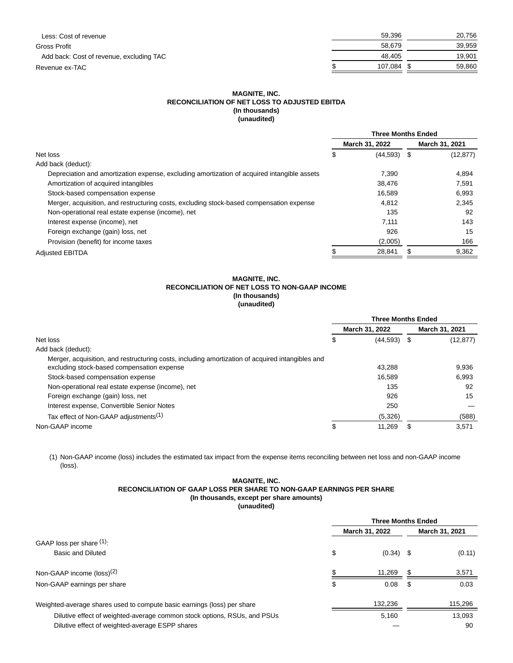| Less: Cost of revenue                    | 59.396  | 20,756 |
|------------------------------------------|---------|--------|
| Gross Profit                             | 58.679  | 39.959 |
| Add back: Cost of revenue, excluding TAC | 48.405  | 19.901 |
| Revenue ex-TAC                           | 107.084 | 59,860 |

#### **MAGNITE, INC. RECONCILIATION OF NET LOSS TO ADJUSTED EBITDA (In thousands) (unaudited)**

|                                                                                             |  | <b>Three Months Ended</b> |  |                |  |
|---------------------------------------------------------------------------------------------|--|---------------------------|--|----------------|--|
| Net loss                                                                                    |  | March 31, 2022            |  | March 31, 2021 |  |
|                                                                                             |  | $(44,593)$ \$             |  | (12, 877)      |  |
| Add back (deduct):                                                                          |  |                           |  |                |  |
| Depreciation and amortization expense, excluding amortization of acquired intangible assets |  | 7.390                     |  | 4.894          |  |
| Amortization of acquired intangibles                                                        |  | 38,476                    |  | 7,591          |  |
| Stock-based compensation expense                                                            |  | 16.589                    |  | 6,993          |  |
| Merger, acquisition, and restructuring costs, excluding stock-based compensation expense    |  | 4.812                     |  | 2,345          |  |
| Non-operational real estate expense (income), net                                           |  | 135                       |  | 92             |  |
| Interest expense (income), net                                                              |  | 7.111                     |  | 143            |  |
| Foreign exchange (gain) loss, net                                                           |  | 926                       |  | 15             |  |
| Provision (benefit) for income taxes                                                        |  | (2,005)                   |  | 166            |  |
| <b>Adiusted EBITDA</b>                                                                      |  | 28,841                    |  | 9,362          |  |

#### **MAGNITE, INC. RECONCILIATION OF NET LOSS TO NON-GAAP INCOME (In thousands) (unaudited)**

|                                                                                                  |    | <b>Three Months Ended</b> |      |                |  |
|--------------------------------------------------------------------------------------------------|----|---------------------------|------|----------------|--|
|                                                                                                  |    | March 31, 2022            |      | March 31, 2021 |  |
| Net loss                                                                                         | \$ | (44, 593)                 | - \$ | (12, 877)      |  |
| Add back (deduct):                                                                               |    |                           |      |                |  |
| Merger, acquisition, and restructuring costs, including amortization of acquired intangibles and |    |                           |      |                |  |
| excluding stock-based compensation expense                                                       |    | 43.288                    |      | 9,936          |  |
| Stock-based compensation expense                                                                 |    | 16.589                    |      | 6,993          |  |
| Non-operational real estate expense (income), net                                                |    | 135                       |      | 92             |  |
| Foreign exchange (gain) loss, net                                                                |    | 926                       |      | 15             |  |
| Interest expense, Convertible Senior Notes                                                       |    | 250                       |      |                |  |
| Tax effect of Non-GAAP adjustments <sup>(1)</sup>                                                |    | (5,326)                   |      | (588)          |  |
| Non-GAAP income                                                                                  | \$ | 11.269                    |      | 3,571          |  |

 (1) Non-GAAP income (loss) includes the estimated tax impact from the expense items reconciling between net loss and non-GAAP income (loss).

#### **MAGNITE, INC. RECONCILIATION OF GAAP LOSS PER SHARE TO NON-GAAP EARNINGS PER SHARE (In thousands, except per share amounts) (unaudited)**

|                                                                          | <b>Three Months Ended</b> |             |                |         |
|--------------------------------------------------------------------------|---------------------------|-------------|----------------|---------|
|                                                                          | March 31, 2022            |             | March 31, 2021 |         |
| GAAP loss per share (1):                                                 |                           |             |                |         |
| Basic and Diluted                                                        | \$                        | $(0.34)$ \$ |                | (0.11)  |
| Non-GAAP income $(\text{loss})^{(2)}$                                    |                           | 11,269      |                | 3,571   |
| Non-GAAP earnings per share                                              | \$                        | 0.08        | S              | 0.03    |
| Weighted-average shares used to compute basic earnings (loss) per share  |                           | 132,236     |                | 115,296 |
| Dilutive effect of weighted-average common stock options, RSUs, and PSUs |                           | 5,160       |                | 13,093  |
| Dilutive effect of weighted-average ESPP shares                          |                           |             |                | 90      |